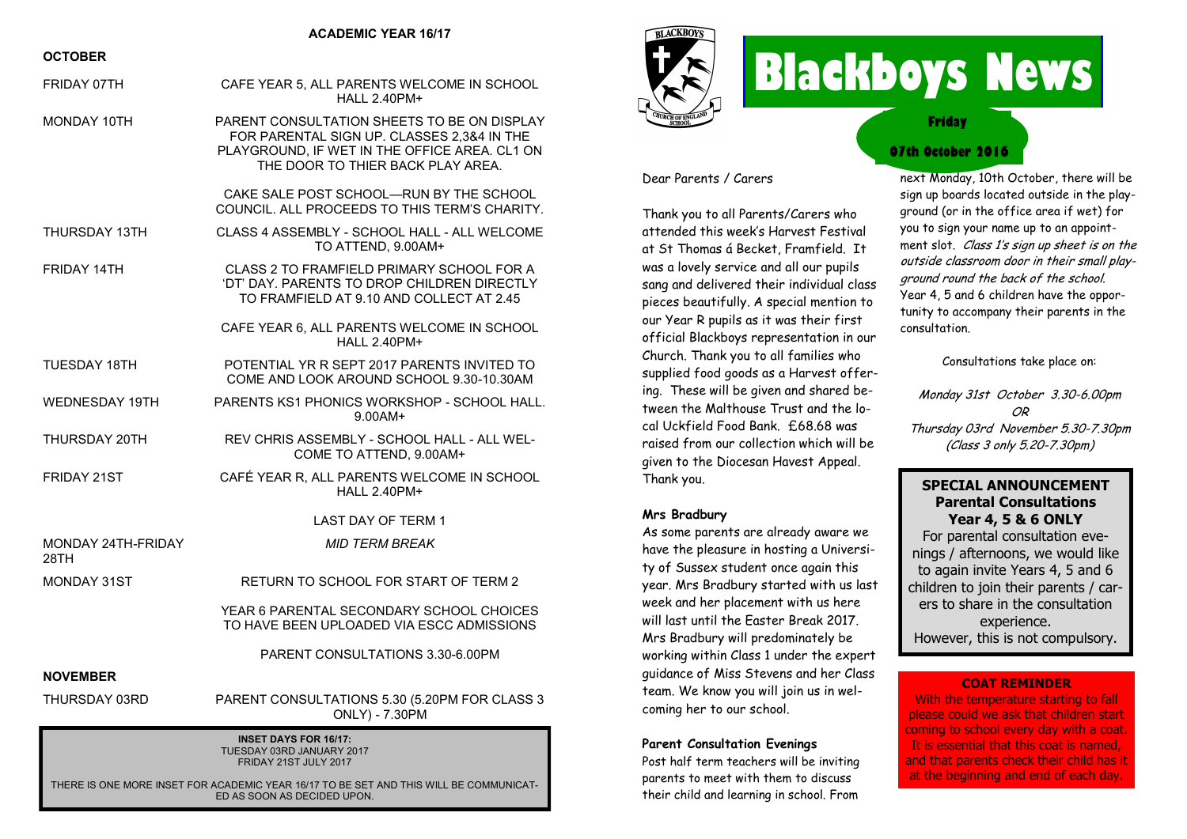#### **ACADEMIC YEAR 16/17**

#### **OCTOBER**

| FRIDAY 07TH                                               | CAFE YEAR 5, ALL PARENTS WELCOME IN SCHOOL<br><b>HALL 2.40PM+</b>                                                                                                               |
|-----------------------------------------------------------|---------------------------------------------------------------------------------------------------------------------------------------------------------------------------------|
| MONDAY 10TH                                               | PARENT CONSULTATION SHEETS TO BE ON DISPLAY<br>FOR PARENTAL SIGN UP. CLASSES 2,3&4 IN THE<br>PLAYGROUND, IF WET IN THE OFFICE AREA. CL1 ON<br>THE DOOR TO THIER BACK PLAY AREA. |
|                                                           | CAKE SALE POST SCHOOL-RUN BY THE SCHOOL<br>COUNCIL. ALL PROCEEDS TO THIS TERM'S CHARITY.                                                                                        |
| THURSDAY 13TH                                             | CLASS 4 ASSEMBLY - SCHOOL HALL - ALL WELCOME<br>TO ATTEND, 9.00AM+                                                                                                              |
| <b>FRIDAY 14TH</b>                                        | CLASS 2 TO FRAMFIELD PRIMARY SCHOOL FOR A<br>'DT' DAY. PARENTS TO DROP CHILDREN DIRECTLY<br>TO FRAMFIELD AT 9.10 AND COLLECT AT 2.45                                            |
|                                                           | CAFE YEAR 6, ALL PARENTS WELCOME IN SCHOOL<br><b>HALL 2.40PM+</b>                                                                                                               |
| <b>TUESDAY 18TH</b>                                       | POTENTIAL YR R SEPT 2017 PARENTS INVITED TO<br>COME AND LOOK AROUND SCHOOL 9.30-10.30AM                                                                                         |
| WEDNESDAY 19TH                                            | PARENTS KS1 PHONICS WORKSHOP - SCHOOL HALL.<br>$9.00AM +$                                                                                                                       |
| THURSDAY 20TH                                             | REV CHRIS ASSEMBLY - SCHOOL HALL - ALL WEL-<br>COME TO ATTEND, 9.00AM+                                                                                                          |
| FRIDAY 21ST                                               | CAFÉ YEAR R, ALL PARENTS WELCOME IN SCHOOL<br>HAI I 2.40PM+                                                                                                                     |
|                                                           | <b>LAST DAY OF TERM 1</b>                                                                                                                                                       |
| <b>MONDAY 24TH-FRIDAY</b><br>28TH                         | <b>MID TERM BREAK</b>                                                                                                                                                           |
| <b>MONDAY 31ST</b>                                        | RETURN TO SCHOOL FOR START OF TERM 2                                                                                                                                            |
|                                                           | YEAR 6 PARENTAL SECONDARY SCHOOL CHOICES<br>TO HAVE BEEN UPLOADED VIA ESCC ADMISSIONS                                                                                           |
|                                                           | PARENT CONSULTATIONS 3.30-6.00PM                                                                                                                                                |
| <b>NOVEMBER</b>                                           |                                                                                                                                                                                 |
| THURSDAY 03RD                                             | PARENT CONSULTATIONS 5.30 (5.20PM FOR CLASS 3<br>ONLY) - 7.30PM                                                                                                                 |
| <b>INSET DAYS FOR 16/17:</b><br>TUESDAY 03RD JANUARY 2017 |                                                                                                                                                                                 |

FRIDAY 21ST JULY 2017

THERE IS ONE MORE INSET FOR ACADEMIC YEAR 16/17 TO BE SET AND THIS WILL BE COMMUNICAT-ED AS SOON AS DECIDED UPON.



# **Blackboys News**

**Friday**

#### **07th October 2016**

Dear Parents / Carers

Thank you to all Parents/Carers who attended this week's Harvest Festival at St Thomas á Becket, Framfield. It was a lovely service and all our pupils sang and delivered their individual class pieces beautifully. A special mention to our Year R pupils as it was their first official Blackboys representation in our Church. Thank you to all families who supplied food goods as a Harvest offering. These will be given and shared between the Malthouse Trust and the local Uckfield Food Bank. £68.68 was raised from our collection which will be given to the Diocesan Havest Appeal. Thank you.

#### **Mrs Bradbury**

As some parents are already aware we have the pleasure in hosting a University of Sussex student once again this year. Mrs Bradbury started with us last week and her placement with us here will last until the Easter Break 2017. Mrs Bradbury will predominately be working within Class 1 under the expert guidance of Miss Stevens and her Class team. We know you will join us in welcoming her to our school.

#### **Parent Consultation Evenings**

Post half term teachers will be inviting parents to meet with them to discuss their child and learning in school. From

next Monday, 10th October, there will be sign up boards located outside in the playground (or in the office area if wet) for you to sign your name up to an appointment slot. Class 1's sign up sheet is on the outside classroom door in their small playground round the back of the school. Year 4, 5 and 6 children have the opportunity to accompany their parents in the consultation.

Consultations take place on:

Monday 31st October 3.30-6.00pm OR Thursday 03rd November 5.30-7.30pm (Class 3 only 5.20-7.30pm)

#### **SPECIAL ANNOUNCEMENT Parental Consultations Year 4, 5 & 6 ONLY**

For parental consultation evenings / afternoons, we would like to again invite Years 4, 5 and 6 children to join their parents / carers to share in the consultation experience. However, this is not compulsory.

#### **COAT REMINDER**

With the temperature starting to fall please could we ask that children start coming to school every day with a coat. It is essential that this coat is named, and that parents check their child has it at the beginning and end of each day.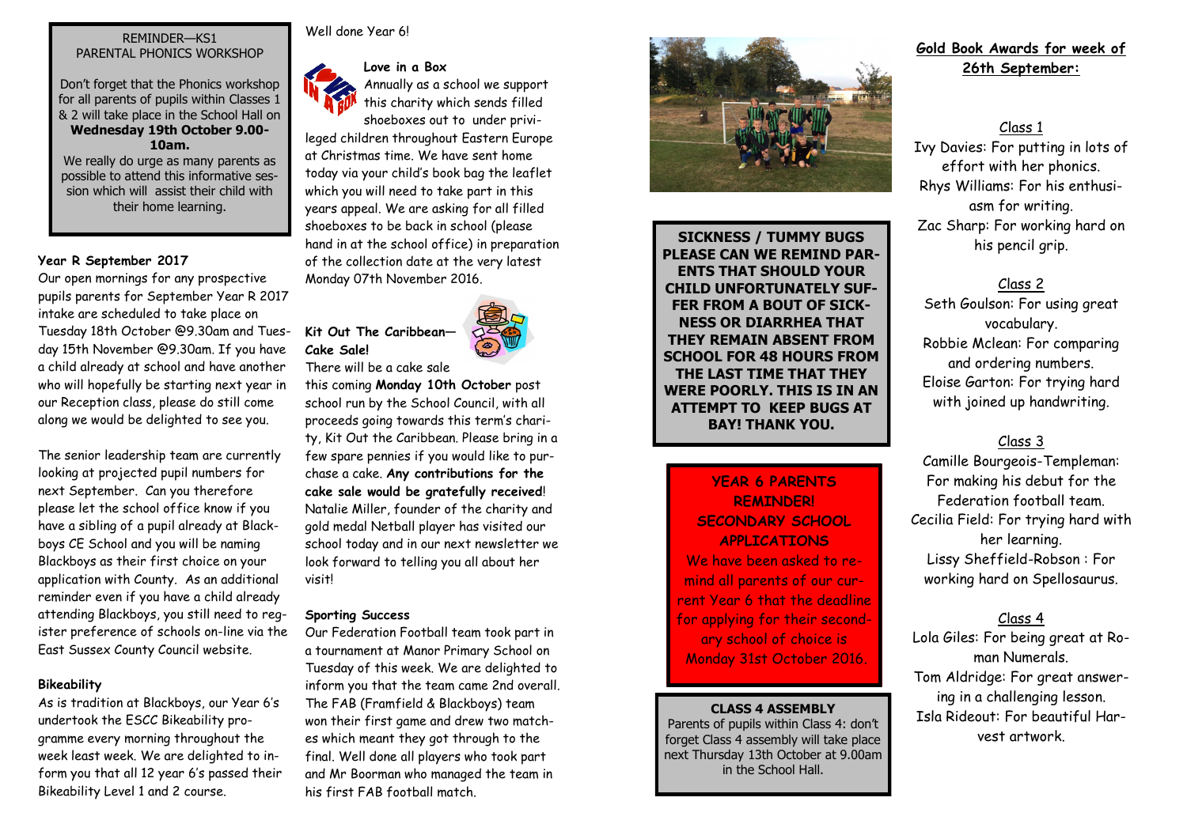#### REMINDER—KS1 PARENTAL PHONICS WORKSHOP

Don't forget that the Phonics workshop for all parents of pupils within Classes 1 & 2 will take place in the School Hall on **Wednesday 19th October 9.00- 10am.** 

We really do urge as many parents as possible to attend this informative session which will assist their child with their home learning.

#### **Year R September 2017**

Our open mornings for any prospective pupils parents for September Year R 2017 intake are scheduled to take place on Tuesday 18th October @9.30am and Tuesday 15th November @9.30am. If you have a child already at school and have another who will hopefully be starting next year in our Reception class, please do still come along we would be delighted to see you.

The senior leadership team are currently looking at projected pupil numbers for next September. Can you therefore please let the school office know if you have a sibling of a pupil already at Blackboys CE School and you will be naming Blackboys as their first choice on your application with County. As an additional reminder even if you have a child already attending Blackboys, you still need to register preference of schools on-line via the East Sussex County Council website.

#### **Bikeability**

As is tradition at Blackboys, our Year 6's undertook the ESCC Bikeability programme every morning throughout the week least week. We are delighted to inform you that all 12 year 6's passed their Bikeability Level 1 and 2 course.



Well done Year 61

#### **Love in a Box**

Annually as a school we support this charity which sends filled shoeboxes out to under privi-

leged children throughout Eastern Europe at Christmas time. We have sent home today via your child's book bag the leaflet which you will need to take part in this years appeal. We are asking for all filled shoeboxes to be back in school (please hand in at the school office) in preparation of the collection date at the very latest Monday 07th November 2016.

### **Kit Out The Caribbean— Cake Sale!**



There will be a cake sale

this coming **Monday 10th October** post school run by the School Council, with all proceeds going towards this term's charity, Kit Out the Caribbean. Please bring in a few spare pennies if you would like to purchase a cake. **Any contributions for the cake sale would be gratefully received**! Natalie Miller, founder of the charity and gold medal Netball player has visited our school today and in our next newsletter we look forward to telling you all about her visit!

#### **Sporting Success**

Our Federation Football team took part in a tournament at Manor Primary School on Tuesday of this week. We are delighted to inform you that the team came 2nd overall. The FAB (Framfield & Blackboys) team won their first game and drew two matches which meant they got through to the final. Well done all players who took part and Mr Boorman who managed the team in his first FAB football match.



**SICKNESS / TUMMY BUGS PLEASE CAN WE REMIND PAR-ENTS THAT SHOULD YOUR CHILD UNFORTUNATELY SUF-FER FROM A BOUT OF SICK-NESS OR DIARRHEA THAT THEY REMAIN ABSENT FROM SCHOOL FOR 48 HOURS FROM THE LAST TIME THAT THEY WERE POORLY. THIS IS IN AN ATTEMPT TO KEEP BUGS AT BAY! THANK YOU.** 

#### **YEAR 6 PARENTS REMINDER! SECONDARY SCHOOL APPLICATIONS**

We have been asked to remind all parents of our current Year 6 that the deadline for applying for their secondary school of choice is Monday 31st October 2016.

#### **CLASS 4 ASSEMBLY**

Parents of pupils within Class 4: don't forget Class 4 assembly will take place next Thursday 13th October at 9.00am in the School Hall.

#### **Gold Book Awards for week of 26th September:**

Class 1

Ivy Davies: For putting in lots of effort with her phonics. Rhys Williams: For his enthusiasm for writing. Zac Sharp: For working hard on his pencil grip.

#### Class 2

Seth Goulson: For using great vocabulary. Robbie Mclean: For comparing and ordering numbers. Eloise Garton: For trying hard with joined up handwriting.

#### Class 3

Camille Bourgeois-Templeman: For making his debut for the Federation football team. Cecilia Field: For trying hard with her learning. Lissy Sheffield-Robson : For working hard on Spellosaurus.

#### Class 4

Lola Giles: For being great at Roman Numerals. Tom Aldridge: For great answering in a challenging lesson. Isla Rideout: For beautiful Harvest artwork.